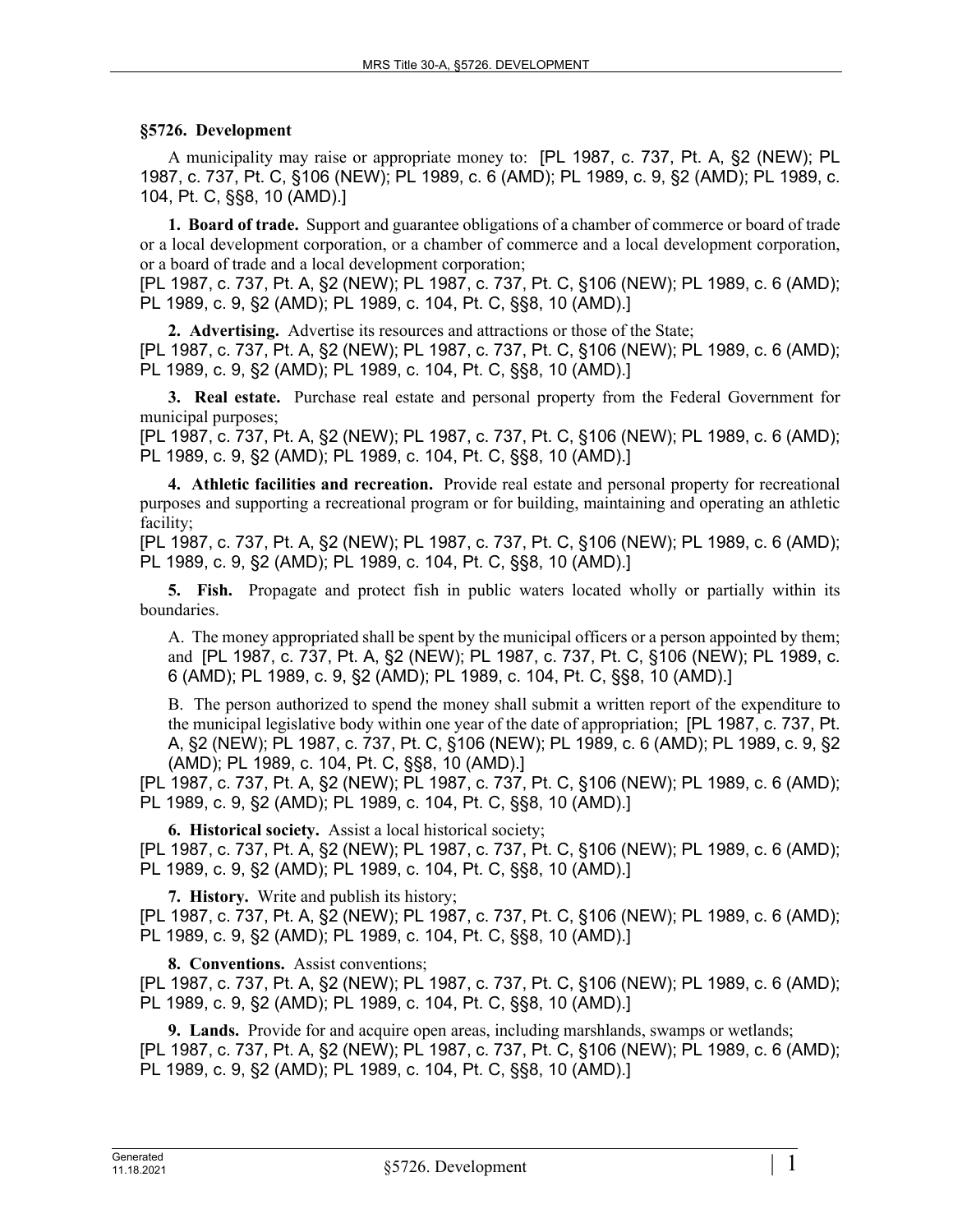## **§5726. Development**

A municipality may raise or appropriate money to: [PL 1987, c. 737, Pt. A, §2 (NEW); PL 1987, c. 737, Pt. C, §106 (NEW); PL 1989, c. 6 (AMD); PL 1989, c. 9, §2 (AMD); PL 1989, c. 104, Pt. C, §§8, 10 (AMD).]

**1. Board of trade.** Support and guarantee obligations of a chamber of commerce or board of trade or a local development corporation, or a chamber of commerce and a local development corporation, or a board of trade and a local development corporation;

[PL 1987, c. 737, Pt. A, §2 (NEW); PL 1987, c. 737, Pt. C, §106 (NEW); PL 1989, c. 6 (AMD); PL 1989, c. 9, §2 (AMD); PL 1989, c. 104, Pt. C, §§8, 10 (AMD).]

**2. Advertising.** Advertise its resources and attractions or those of the State; [PL 1987, c. 737, Pt. A, §2 (NEW); PL 1987, c. 737, Pt. C, §106 (NEW); PL 1989, c. 6 (AMD); PL 1989, c. 9, §2 (AMD); PL 1989, c. 104, Pt. C, §§8, 10 (AMD).]

**3. Real estate.** Purchase real estate and personal property from the Federal Government for municipal purposes;

[PL 1987, c. 737, Pt. A, §2 (NEW); PL 1987, c. 737, Pt. C, §106 (NEW); PL 1989, c. 6 (AMD); PL 1989, c. 9, §2 (AMD); PL 1989, c. 104, Pt. C, §§8, 10 (AMD).]

**4. Athletic facilities and recreation.** Provide real estate and personal property for recreational purposes and supporting a recreational program or for building, maintaining and operating an athletic facility;

[PL 1987, c. 737, Pt. A, §2 (NEW); PL 1987, c. 737, Pt. C, §106 (NEW); PL 1989, c. 6 (AMD); PL 1989, c. 9, §2 (AMD); PL 1989, c. 104, Pt. C, §§8, 10 (AMD).]

**5. Fish.** Propagate and protect fish in public waters located wholly or partially within its boundaries.

A. The money appropriated shall be spent by the municipal officers or a person appointed by them; and [PL 1987, c. 737, Pt. A, §2 (NEW); PL 1987, c. 737, Pt. C, §106 (NEW); PL 1989, c. 6 (AMD); PL 1989, c. 9, §2 (AMD); PL 1989, c. 104, Pt. C, §§8, 10 (AMD).]

B. The person authorized to spend the money shall submit a written report of the expenditure to the municipal legislative body within one year of the date of appropriation; [PL 1987, c. 737, Pt. A, §2 (NEW); PL 1987, c. 737, Pt. C, §106 (NEW); PL 1989, c. 6 (AMD); PL 1989, c. 9, §2 (AMD); PL 1989, c. 104, Pt. C, §§8, 10 (AMD).]

[PL 1987, c. 737, Pt. A, §2 (NEW); PL 1987, c. 737, Pt. C, §106 (NEW); PL 1989, c. 6 (AMD); PL 1989, c. 9, §2 (AMD); PL 1989, c. 104, Pt. C, §§8, 10 (AMD).]

**6. Historical society.** Assist a local historical society; [PL 1987, c. 737, Pt. A, §2 (NEW); PL 1987, c. 737, Pt. C, §106 (NEW); PL 1989, c. 6 (AMD); PL 1989, c. 9, §2 (AMD); PL 1989, c. 104, Pt. C, §§8, 10 (AMD).]

**7. History.** Write and publish its history; [PL 1987, c. 737, Pt. A, §2 (NEW); PL 1987, c. 737, Pt. C, §106 (NEW); PL 1989, c. 6 (AMD); PL 1989, c. 9, §2 (AMD); PL 1989, c. 104, Pt. C, §§8, 10 (AMD).]

**8. Conventions.** Assist conventions;

[PL 1987, c. 737, Pt. A, §2 (NEW); PL 1987, c. 737, Pt. C, §106 (NEW); PL 1989, c. 6 (AMD); PL 1989, c. 9, §2 (AMD); PL 1989, c. 104, Pt. C, §§8, 10 (AMD).]

**9. Lands.** Provide for and acquire open areas, including marshlands, swamps or wetlands; [PL 1987, c. 737, Pt. A, §2 (NEW); PL 1987, c. 737, Pt. C, §106 (NEW); PL 1989, c. 6 (AMD); PL 1989, c. 9, §2 (AMD); PL 1989, c. 104, Pt. C, §§8, 10 (AMD).]